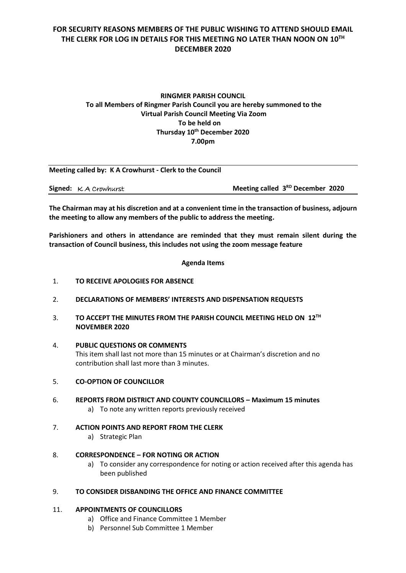# **FOR SECURITY REASONS MEMBERS OF THE PUBLIC WISHING TO ATTEND SHOULD EMAIL THE CLERK FOR LOG IN DETAILS FOR THIS MEETING NO LATER THAN NOON ON 10 TH DECEMBER 2020**

## **RINGMER PARISH COUNCIL To all Members of Ringmer Parish Council you are hereby summoned to the Virtual Parish Council Meeting Via Zoom To be held on Thursday 10 th December 2020 7.00pm**

|                                | Meeting called by: K A Crowhurst - Clerk to the Council |                                              |
|--------------------------------|---------------------------------------------------------|----------------------------------------------|
| <b>Signed:</b> $K$ A Crowhurst |                                                         | Meeting called 3 <sup>RD</sup> December 2020 |

**The Chairman may at his discretion and at a convenient time in the transaction of business, adjourn the meeting to allow any members of the public to address the meeting.**

**Parishioners and others in attendance are reminded that they must remain silent during the transaction of Council business, this includes not using the zoom message feature**

#### **Agenda Items**

- 1. **TO RECEIVE APOLOGIES FOR ABSENCE**
- 2. **DECLARATIONS OF MEMBERS' INTERESTS AND DISPENSATION REQUESTS**
- 3. TO ACCEPT THE MINUTES FROM THE PARISH COUNCIL MEETING HELD ON 12<sup>TH</sup> **NOVEMBER 2020**
- 4. **PUBLIC QUESTIONS OR COMMENTS**  This item shall last not more than 15 minutes or at Chairman's discretion and no contribution shall last more than 3 minutes.
- 5. **CO-OPTION OF COUNCILLOR**
- 6. **REPORTS FROM DISTRICT AND COUNTY COUNCILLORS – Maximum 15 minutes** a) To note any written reports previously received
- 7. **ACTION POINTS AND REPORT FROM THE CLERK** a) Strategic Plan
- 8. **CORRESPONDENCE – FOR NOTING OR ACTION**
	- a) To consider any correspondence for noting or action received after this agenda has been published

## 9. **TO CONSIDER DISBANDING THE OFFICE AND FINANCE COMMITTEE**

## 11. **APPOINTMENTS OF COUNCILLORS**

- a) Office and Finance Committee 1 Member
- b) Personnel Sub Committee 1 Member